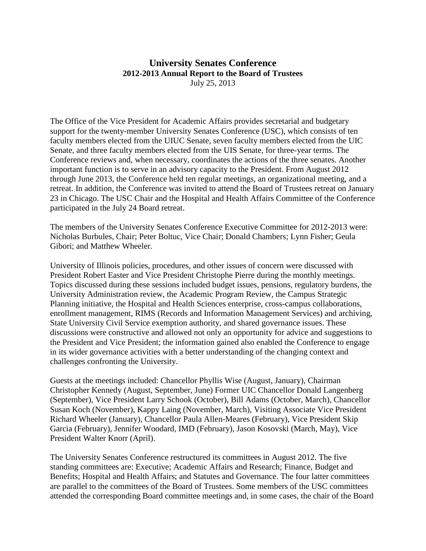## **University Senates Conference 2012-2013 Annual Report to the Board of Trustees** July 25, 2013

The Office of the Vice President for Academic Affairs provides secretarial and budgetary support for the twenty-member University Senates Conference (USC), which consists of ten faculty members elected from the UIUC Senate, seven faculty members elected from the UIC Senate, and three faculty members elected from the UIS Senate, for three-year terms. The Conference reviews and, when necessary, coordinates the actions of the three senates. Another important function is to serve in an advisory capacity to the President. From August 2012 through June 2013, the Conference held ten regular meetings, an organizational meeting, and a retreat. In addition, the Conference was invited to attend the Board of Trustees retreat on January 23 in Chicago. The USC Chair and the Hospital and Health Affairs Committee of the Conference participated in the July 24 Board retreat.

The members of the University Senates Conference Executive Committee for 2012-2013 were: Nicholas Burbules, Chair; Peter Boltuc, Vice Chair; Donald Chambers; Lynn Fisher; Geula Gibori; and Matthew Wheeler.

University of Illinois policies, procedures, and other issues of concern were discussed with President Robert Easter and Vice President Christophe Pierre during the monthly meetings. Topics discussed during these sessions included budget issues, pensions, regulatory burdens, the University Administration review, the Academic Program Review, the Campus Strategic Planning initiative, the Hospital and Health Sciences enterprise, cross-campus collaborations, enrollment management, RIMS (Records and Information Management Services) and archiving, State University Civil Service exemption authority, and shared governance issues. These discussions were constructive and allowed not only an opportunity for advice and suggestions to the President and Vice President; the information gained also enabled the Conference to engage in its wider governance activities with a better understanding of the changing context and challenges confronting the University.

Guests at the meetings included: Chancellor Phyllis Wise (August, January), Chairman Christopher Kennedy (August, September, June) Former UIC Chancellor Donald Langenberg (September), Vice President Larry Schook (October), Bill Adams (October, March), Chancellor Susan Koch (November), Kappy Laing (November, March), Visiting Associate Vice President Richard Wheeler (January), Chancellor Paula Allen-Meares (February), Vice President Skip Garcia (February), Jennifer Woodard, IMD (February), Jason Kosovski (March, May), Vice President Walter Knorr (April).

The University Senates Conference restructured its committees in August 2012. The five standing committees are: Executive; Academic Affairs and Research; Finance, Budget and Benefits; Hospital and Health Affairs; and Statutes and Governance. The four latter committees are parallel to the committees of the Board of Trustees. Some members of the USC committees attended the corresponding Board committee meetings and, in some cases, the chair of the Board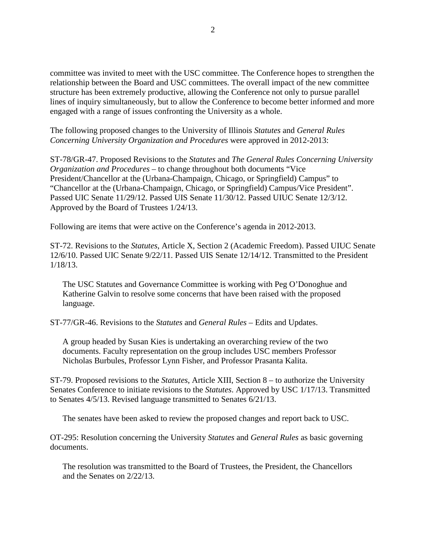committee was invited to meet with the USC committee. The Conference hopes to strengthen the relationship between the Board and USC committees. The overall impact of the new committee structure has been extremely productive, allowing the Conference not only to pursue parallel lines of inquiry simultaneously, but to allow the Conference to become better informed and more engaged with a range of issues confronting the University as a whole.

The following proposed changes to the University of Illinois *Statutes* and *General Rules Concerning University Organization and Procedures* were approved in 2012-2013:

ST-78/GR-47. Proposed Revisions to the *Statutes* and *The General Rules Concerning University Organization and Procedures* – to change throughout both documents "Vice President/Chancellor at the (Urbana-Champaign, Chicago, or Springfield) Campus" to "Chancellor at the (Urbana-Champaign, Chicago, or Springfield) Campus/Vice President". Passed UIC Senate 11/29/12. Passed UIS Senate 11/30/12. Passed UIUC Senate 12/3/12. Approved by the Board of Trustees 1/24/13.

Following are items that were active on the Conference's agenda in 2012-2013.

ST-72. Revisions to the *Statutes*, Article X, Section 2 (Academic Freedom). Passed UIUC Senate 12/6/10. Passed UIC Senate 9/22/11. Passed UIS Senate 12/14/12. Transmitted to the President 1/18/13.

The USC Statutes and Governance Committee is working with Peg O'Donoghue and Katherine Galvin to resolve some concerns that have been raised with the proposed language.

ST-77/GR-46. Revisions to the *Statutes* and *General Rules* – Edits and Updates.

A group headed by Susan Kies is undertaking an overarching review of the two documents. Faculty representation on the group includes USC members Professor Nicholas Burbules, Professor Lynn Fisher, and Professor Prasanta Kalita.

ST-79. Proposed revisions to the *Statutes*, Article XIII, Section 8 – to authorize the University Senates Conference to initiate revisions to the *Statutes*. Approved by USC 1/17/13. Transmitted to Senates 4/5/13. Revised language transmitted to Senates 6/21/13.

The senates have been asked to review the proposed changes and report back to USC.

OT-295: Resolution concerning the University *Statutes* and *General Rules* as basic governing documents.

The resolution was transmitted to the Board of Trustees, the President, the Chancellors and the Senates on 2/22/13.